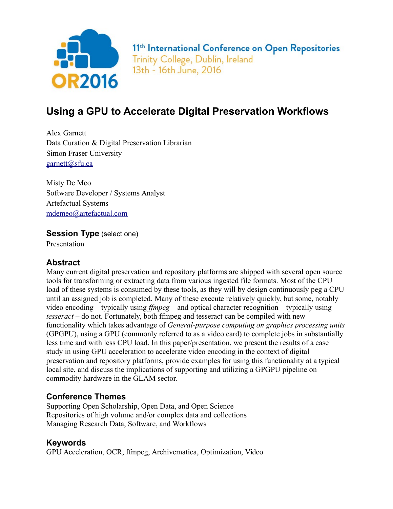

## **Using a GPU to Accelerate Digital Preservation Workflows**

Alex Garnett Data Curation & Digital Preservation Librarian Simon Fraser University [garnett@sfu.ca](mailto:garnett@sfu.ca)

Misty De Meo Software Developer / Systems Analyst Artefactual Systems [mdemeo@artefactual.com](mailto:mdemeo@artefactual.com)

**Session Type** (select one)

Presentation

#### **Abstract**

Many current digital preservation and repository platforms are shipped with several open source tools for transforming or extracting data from various ingested file formats. Most of the CPU load of these systems is consumed by these tools, as they will by design continuously peg a CPU until an assigned job is completed. Many of these execute relatively quickly, but some, notably video encoding – typically using *ffmpeg* – and optical character recognition – typically using *tesseract* – do not. Fortunately, both ffmpeg and tesseract can be compiled with new functionality which takes advantage of *General-purpose computing on graphics processing units* (GPGPU), using a GPU (commonly referred to as a video card) to complete jobs in substantially less time and with less CPU load. In this paper/presentation, we present the results of a case study in using GPU acceleration to accelerate video encoding in the context of digital preservation and repository platforms, provide examples for using this functionality at a typical local site, and discuss the implications of supporting and utilizing a GPGPU pipeline on commodity hardware in the GLAM sector.

#### **Conference Themes**

Supporting Open Scholarship, Open Data, and Open Science Repositories of high volume and/or complex data and collections Managing Research Data, Software, and Workflows

#### **Keywords**

GPU Acceleration, OCR, ffmpeg, Archivematica, Optimization, Video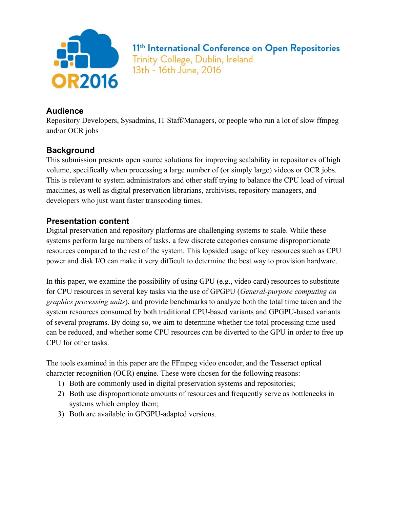

#### **Audience**

Repository Developers, Sysadmins, IT Staff/Managers, or people who run a lot of slow ffmpeg and/or OCR jobs

#### **Background**

This submission presents open source solutions for improving scalability in repositories of high volume, specifically when processing a large number of (or simply large) videos or OCR jobs. This is relevant to system administrators and other staff trying to balance the CPU load of virtual machines, as well as digital preservation librarians, archivists, repository managers, and developers who just want faster transcoding times.

#### **Presentation content**

Digital preservation and repository platforms are challenging systems to scale. While these systems perform large numbers of tasks, a few discrete categories consume disproportionate resources compared to the rest of the system. This lopsided usage of key resources such as CPU power and disk I/O can make it very difficult to determine the best way to provision hardware.

In this paper, we examine the possibility of using GPU (e.g., video card) resources to substitute for CPU resources in several key tasks via the use of GPGPU (*General-purpose computing on graphics processing units*), and provide benchmarks to analyze both the total time taken and the system resources consumed by both traditional CPU-based variants and GPGPU-based variants of several programs. By doing so, we aim to determine whether the total processing time used can be reduced, and whether some CPU resources can be diverted to the GPU in order to free up CPU for other tasks.

The tools examined in this paper are the FFmpeg video encoder, and the Tesseract optical character recognition (OCR) engine. These were chosen for the following reasons:

- 1) Both are commonly used in digital preservation systems and repositories;
- 2) Both use disproportionate amounts of resources and frequently serve as bottlenecks in systems which employ them;
- 3) Both are available in GPGPU-adapted versions.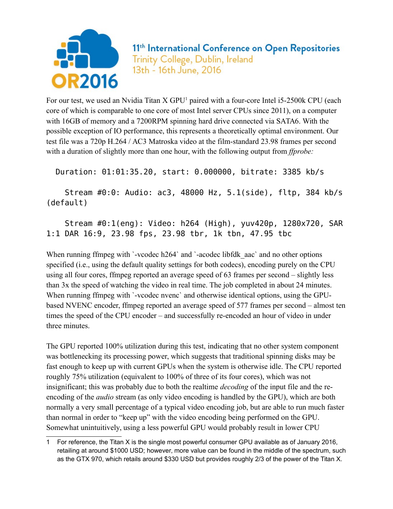

For our test, we used an Nvidia Titan X GPU<sup>[1](#page-2-0)</sup> paired with a four-core Intel i5-2500k CPU (each core of which is comparable to one core of most Intel server CPUs since 2011), on a computer with 16GB of memory and a 7200RPM spinning hard drive connected via SATA6. With the possible exception of IO performance, this represents a theoretically optimal environment. Our test file was a 720p H.264 / AC3 Matroska video at the film-standard 23.98 frames per second with a duration of slightly more than one hour, with the following output from *ffprobe:*

Duration: 01:01:35.20, start: 0.000000, bitrate: 3385 kb/s

 Stream #0:0: Audio: ac3, 48000 Hz, 5.1(side), fltp, 384 kb/s (default)

### Stream #0:1(eng): Video: h264 (High), yuv420p, 1280x720, SAR 1:1 DAR 16:9, 23.98 fps, 23.98 tbr, 1k tbn, 47.95 tbc

When running ffmpeg with `-vcodec h264` and `-acodec libfdk aac` and no other options specified (i.e., using the default quality settings for both codecs), encoding purely on the CPU using all four cores, ffmpeg reported an average speed of 63 frames per second – slightly less than 3x the speed of watching the video in real time. The job completed in about 24 minutes. When running ffmpeg with '-vcodec nvenc' and otherwise identical options, using the GPUbased NVENC encoder, ffmpeg reported an average speed of 577 frames per second – almost ten times the speed of the CPU encoder – and successfully re-encoded an hour of video in under three minutes.

The GPU reported 100% utilization during this test, indicating that no other system component was bottlenecking its processing power, which suggests that traditional spinning disks may be fast enough to keep up with current GPUs when the system is otherwise idle. The CPU reported roughly 75% utilization (equivalent to 100% of three of its four cores), which was not insignificant; this was probably due to both the realtime *decoding* of the input file and the reencoding of the *audio* stream (as only video encoding is handled by the GPU), which are both normally a very small percentage of a typical video encoding job, but are able to run much faster than normal in order to "keep up" with the video encoding being performed on the GPU. Somewhat unintuitively, using a less powerful GPU would probably result in lower CPU

<span id="page-2-0"></span><sup>1</sup> For reference, the Titan X is the single most powerful consumer GPU available as of January 2016, retailing at around \$1000 USD; however, more value can be found in the middle of the spectrum, such as the GTX 970, which retails around \$330 USD but provides roughly 2/3 of the power of the Titan X.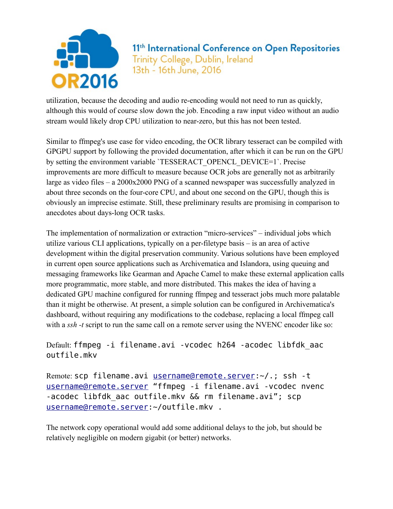

utilization, because the decoding and audio re-encoding would not need to run as quickly, although this would of course slow down the job. Encoding a raw input video without an audio stream would likely drop CPU utilization to near-zero, but this has not been tested.

Similar to ffmpeg's use case for video encoding, the OCR library tesseract can be compiled with GPGPU support by following the provided documentation, after which it can be run on the GPU by setting the environment variable `TESSERACT\_OPENCL\_DEVICE=1`. Precise improvements are more difficult to measure because OCR jobs are generally not as arbitrarily large as video files – a 2000x2000 PNG of a scanned newspaper was successfully analyzed in about three seconds on the four-core CPU, and about one second on the GPU, though this is obviously an imprecise estimate. Still, these preliminary results are promising in comparison to anecdotes about days-long OCR tasks.

The implementation of normalization or extraction "micro-services" – individual jobs which utilize various CLI applications, typically on a per-filetype basis – is an area of active development within the digital preservation community. Various solutions have been employed in current open source applications such as Archivematica and Islandora, using queuing and messaging frameworks like Gearman and Apache Camel to make these external application calls more programmatic, more stable, and more distributed. This makes the idea of having a dedicated GPU machine configured for running ffmpeg and tesseract jobs much more palatable than it might be otherwise. At present, a simple solution can be configured in Archivematica's dashboard, without requiring any modifications to the codebase, replacing a local ffmpeg call with a *ssh* -t script to run the same call on a remote server using the NVENC encoder like so:

Default: ffmpeg -i filename.avi -vcodec h264 -acodec libfdk\_aac outfile.mkv

Remote: scp filename.avi [username@remote.server:](mailto:username@remote.server)~/.; ssh -t [username@remote.server](mailto:username@remote.server) "ffmpeg -i filename.avi -vcodec nvenc -acodec libfdk aac outfile.mkv && rm filename.avi"; scp [username@remote.server:](mailto:username@remote.server)~/outfile.mkv .

The network copy operational would add some additional delays to the job, but should be relatively negligible on modern gigabit (or better) networks.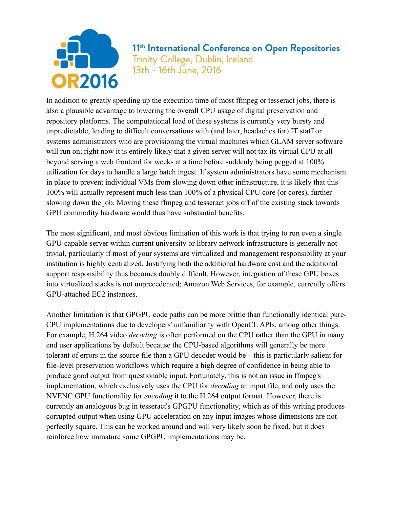

In addition to greatly speeding up the execution time of most ffmpeg or tesseract jobs, there is also a plausible advantage to lowering the overall CPU usage of digital preservation and repository platforms. The computational load of these systems is currently very bursty and unpredictable, leading to difficult conversations with (and later, headaches for) IT staff or systems administrators who are provisioning the virtual machines which GLAM server software will run on; right now it is entirely likely that a given server will not tax its virtual CPU at all beyond serving a web frontend for weeks at a time before suddenly being pegged at 100% utilization for days to handle a large batch ingest. If system administrators have some mechanism in place to prevent individual VMs from slowing down other infrastructure, it is likely that this 100% will actually represent much less than 100% of a physical CPU core (or cores), further slowing down the job. Moving these ffmpeg and tesseract jobs off of the existing stack towards GPU commodity hardware would thus have substantial benefits.

The most significant, and most obvious limitation of this work is that trying to run even a single GPU-capable server within current university or library network infrastructure is generally not trivial, particularly if most of your systems are virtualized and management responsibility at your institution is highly centralized. Justifying both the additional hardware cost and the additional support responsibility thus becomes doubly difficult. However, integration of these GPU boxes into virtualized stacks is not unprecedented; Amazon Web Services, for example, currently offers GPU-attached EC2 instances.

Another limitation is that GPGPU code paths can be more brittle than functionally identical pure-CPU implementations due to developers' unfamiliarity with OpenCL APIs, among other things. For example, H.264 video *decoding* is often performed on the CPU rather than the GPU in many end user applications by default because the CPU-based algorithms will generally be more tolerant of errors in the source file than a GPU decoder would be – this is particularly salient for file-level preservation workflows which require a high degree of confidence in being able to produce good output from questionable input. Fortunately, this is not an issue in ffmpeg's implementation, which exclusively uses the CPU for *decoding* an input file, and only uses the NVENC GPU functionality for *encoding* it to the H.264 output format. However, there is currently an analogous bug in tesseract's GPGPU functionality, which as of this writing produces corrupted output when using GPU acceleration on any input images whose dimensions are not perfectly square. This can be worked around and will very likely soon be fixed, but it does reinforce how immature some GPGPU implementations may be.